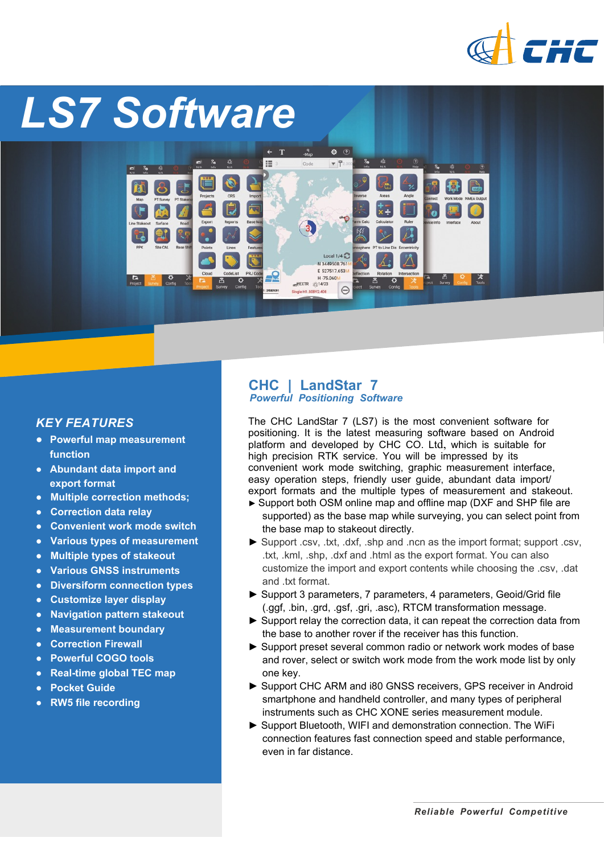

# *LS7 Software* $\frac{q}{M\omega}$  $\bullet$   $\circ$  $\mathbf{T}$  $\equiv$  $\nabla$ Local  $1/4$ N 3449508.761 E 527517.653M H-75.060 EXTR 2314/23  $\Theta$ **Single H1 508V2.408**

## *KEY FEATURES*

- *●* **Powerful map measurement function**
- *●* **Abundant data import and export format**
- *●* **Multiple correction methods;**
- *●* **Correction data relay**
- *●* **Convenient work mode switch**
- *●* **Various types of measurement**
- *●* **Multiple types of stakeout**
- *●* **Various GNSS instruments**
- *●* **Diversiform connection types**
- *●* **Customize layer display**
- *●* **Navigation pattern stakeout**
- *●* **Measurement boundary**
- *●* **Correction Firewall**
- *●* **Powerful COGO tools**
- **Real-time global TEC map**
- *●* **Pocket Guide**
- *●* **RW5 file recording**

### **CHC | LandStar 7** *Powerful Positioning Software*

The CHC LandStar 7 (LS7) is the most convenient software for positioning. It is the latest measuring software based on Android platform and developed by CHC CO. Ltd, which is suitable for high precision RTK service. You will be impressed by its convenient work mode switching, graphic measurement interface, easy operation steps, friendly user guide, abundant data import/ export formats and the multiple types of measurement and stakeout.

- ► Support both OSM online map and offline map (DXF and SHP file are supported) as the base map while surveying, you can select point from the base map to stakeout directly.
- ► Support .csv, .txt, .dxf, .shp and .ncn as the import format; support .csv, .txt, .kml, .shp, .dxf and .html as the export format. You can also customize the import and export contents while choosing the .csv, .dat and .txt format.
- ► Support 3 parameters, 7 parameters, 4 parameters, Geoid/Grid file (.ggf, .bin, .grd, .gsf, .gri, .asc), RTCM transformation message.
- ► Support relay the correction data, it can repeat the correction data from the base to another rover if the receiver has this function.
- ► Support preset several common radio or network work modes of base and rover, select or switch work mode from the work mode list by only one key.
- ▶ Support CHC ARM and i80 GNSS receivers, GPS receiver in Android smartphone and handheld controller, and many types of peripheral instruments such as CHC XONE series measurement module.
- ► Support Bluetooth, WIFI and demonstration connection. The WiFi connection features fast connection speed and stable performance, even in far distance.